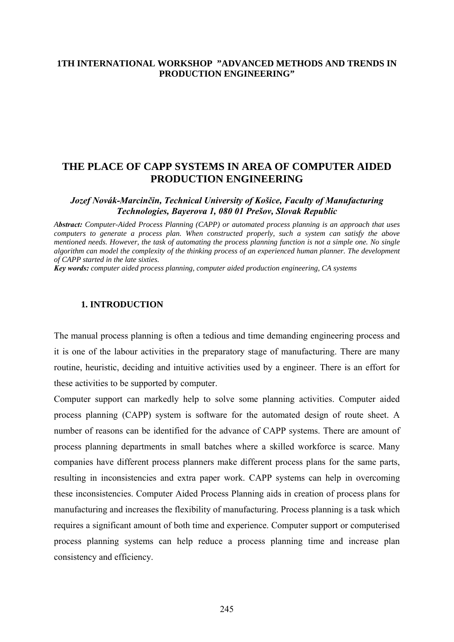## **1TH INTERNATIONAL WORKSHOP "ADVANCED METHODS AND TRENDS IN PRODUCTION ENGINEERING"**

# **THE PLACE OF CAPP SYSTEMS IN AREA OF COMPUTER AIDED PRODUCTION ENGINEERING**

*Jozef Novák-Marcinčin, Technical University of Košice, Faculty of Manufacturing Technologies, Bayerova 1, 080 01 Prešov, Slovak Republic*

*Abstract: Computer-Aided Process Planning (CAPP) or automated process planning is an approach that uses computers to generate a process plan. When constructed properly, such a system can satisfy the above mentioned needs. However, the task of automating the process planning function is not a simple one. No single algorithm can model the complexity of the thinking process of an experienced human planner. The development of CAPP started in the late sixties.* 

*Key words: computer aided process planning, computer aided production engineering, CA systems*

#### **1. INTRODUCTION**

The manual process planning is often a tedious and time demanding engineering process and it is one of the labour activities in the preparatory stage of manufacturing. There are many routine, heuristic, deciding and intuitive activities used by a engineer. There is an effort for these activities to be supported by computer.

Computer support can markedly help to solve some planning activities. Computer aided process planning (CAPP) system is software for the automated design of route sheet. A number of reasons can be identified for the advance of CAPP systems. There are amount of process planning departments in small batches where a skilled workforce is scarce. Many companies have different process planners make different process plans for the same parts, resulting in inconsistencies and extra paper work. CAPP systems can help in overcoming these inconsistencies. Computer Aided Process Planning aids in creation of process plans for manufacturing and increases the flexibility of manufacturing. Process planning is a task which requires a significant amount of both time and experience. Computer support or computerised process planning systems can help reduce a process planning time and increase plan consistency and efficiency.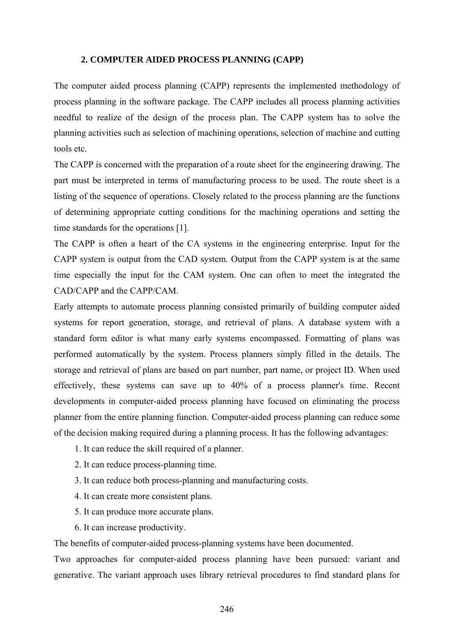#### **2. COMPUTER AIDED PROCESS PLANNING (CAPP)**

The computer aided process planning (CAPP) represents the implemented methodology of process planning in the software package. The CAPP includes all process planning activities needful to realize of the design of the process plan. The CAPP system has to solve the planning activities such as selection of machining operations, selection of machine and cutting tools etc.

The CAPP is concerned with the preparation of a route sheet for the engineering drawing. The part must be interpreted in terms of manufacturing process to be used. The route sheet is a listing of the sequence of operations. Closely related to the process planning are the functions of determining appropriate cutting conditions for the machining operations and setting the time standards for the operations [1].

The CAPP is often a heart of the CA systems in the engineering enterprise. Input for the CAPP system is output from the CAD system. Output from the CAPP system is at the same time especially the input for the CAM system. One can often to meet the integrated the CAD/CAPP and the CAPP/CAM.

Early attempts to automate process planning consisted primarily of building computer aided systems for report generation, storage, and retrieval of plans. A database system with a standard form editor is what many early systems encompassed. Formatting of plans was performed automatically by the system. Process planners simply filled in the details. The storage and retrieval of plans are based on part number, part name, or project ID. When used effectively, these systems can save up to 40% of a process planner's time. Recent developments in computer-aided process planning have focused on eliminating the process planner from the entire planning function. Computer-aided process planning can reduce some of the decision making required during a planning process. It has the following advantages:

- 1. It can reduce the skill required of a planner.
- 2. It can reduce process-planning time.
- 3. It can reduce both process-planning and manufacturing costs.
- 4. It can create more consistent plans.
- 5. It can produce more accurate plans.
- 6. It can increase productivity.

The benefits of computer-aided process-planning systems have been documented.

Two approaches for computer-aided process planning have been pursued: variant and generative. The variant approach uses library retrieval procedures to find standard plans for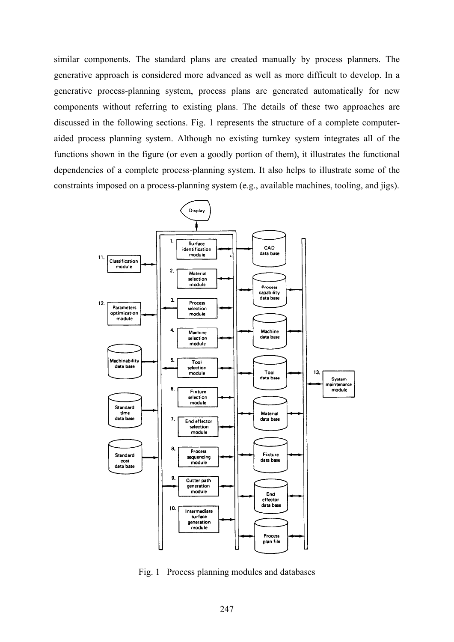similar components. The standard plans are created manually by process planners. The generative approach is considered more advanced as well as more difficult to develop. In a generative process-planning system, process plans are generated automatically for new components without referring to existing plans. The details of these two approaches are discussed in the following sections. Fig. 1 represents the structure of a complete computeraided process planning system. Although no existing turnkey system integrates all of the functions shown in the figure (or even a goodly portion of them), it illustrates the functional dependencies of a complete process-planning system. It also helps to illustrate some of the constraints imposed on a process-planning system (e.g., available machines, tooling, and jigs).



Fig. 1 Process planning modules and databases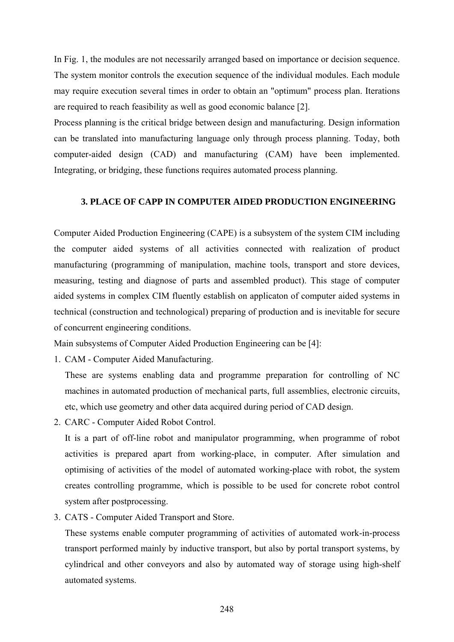In Fig. 1, the modules are not necessarily arranged based on importance or decision sequence. The system monitor controls the execution sequence of the individual modules. Each module may require execution several times in order to obtain an "optimum" process plan. Iterations are required to reach feasibility as well as good economic balance [2].

Process planning is the critical bridge between design and manufacturing. Design information can be translated into manufacturing language only through process planning. Today, both computer-aided design (CAD) and manufacturing (CAM) have been implemented. Integrating, or bridging, these functions requires automated process planning.

#### **3. PLACE OF CAPP IN COMPUTER AIDED PRODUCTION ENGINEERING**

Computer Aided Production Engineering (CAPE) is a subsystem of the system CIM including the computer aided systems of all activities connected with realization of product manufacturing (programming of manipulation, machine tools, transport and store devices, measuring, testing and diagnose of parts and assembled product). This stage of computer aided systems in complex CIM fluently establish on applicaton of computer aided systems in technical (construction and technological) preparing of production and is inevitable for secure of concurrent engineering conditions.

Main subsystems of Computer Aided Production Engineering can be [4]:

1. CAM - Computer Aided Manufacturing.

 These are systems enabling data and programme preparation for controlling of NC machines in automated production of mechanical parts, full assemblies, electronic circuits, etc, which use geometry and other data acquired during period of CAD design.

2. CARC - Computer Aided Robot Control.

 It is a part of off-line robot and manipulator programming, when programme of robot activities is prepared apart from working-place, in computer. After simulation and optimising of activities of the model of automated working-place with robot, the system creates controlling programme, which is possible to be used for concrete robot control system after postprocessing.

3. CATS - Computer Aided Transport and Store.

 These systems enable computer programming of activities of automated work-in-process transport performed mainly by inductive transport, but also by portal transport systems, by cylindrical and other conveyors and also by automated way of storage using high-shelf automated systems.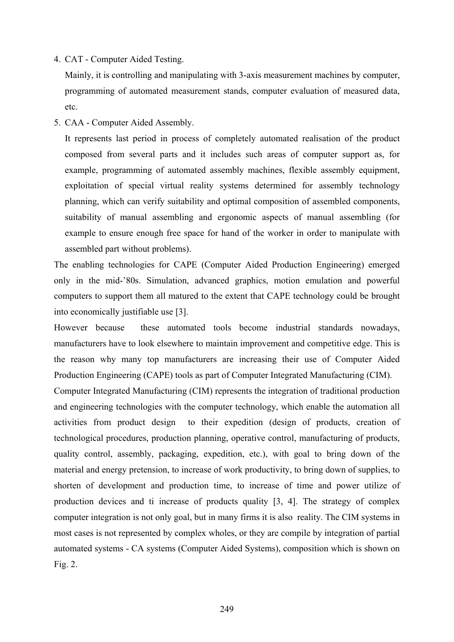4. CAT - Computer Aided Testing.

 Mainly, it is controlling and manipulating with 3-axis measurement machines by computer, programming of automated measurement stands, computer evaluation of measured data, etc.

5. CAA - Computer Aided Assembly.

 It represents last period in process of completely automated realisation of the product composed from several parts and it includes such areas of computer support as, for example, programming of automated assembly machines, flexible assembly equipment, exploitation of special virtual reality systems determined for assembly technology planning, which can verify suitability and optimal composition of assembled components, suitability of manual assembling and ergonomic aspects of manual assembling (for example to ensure enough free space for hand of the worker in order to manipulate with assembled part without problems).

The enabling technologies for CAPE (Computer Aided Production Engineering) emerged only in the mid-'80s. Simulation, advanced graphics, motion emulation and powerful computers to support them all matured to the extent that CAPE technology could be brought into economically justifiable use [3].

However because these automated tools become industrial standards nowadays, manufacturers have to look elsewhere to maintain improvement and competitive edge. This is the reason why many top manufacturers are increasing their use of Computer Aided Production Engineering (CAPE) tools as part of Computer Integrated Manufacturing (CIM).

Computer Integrated Manufacturing (CIM) represents the integration of traditional production and engineering technologies with the computer technology, which enable the automation all activities from product design to their expedition (design of products, creation of technological procedures, production planning, operative control, manufacturing of products, quality control, assembly, packaging, expedition, etc.), with goal to bring down of the material and energy pretension, to increase of work productivity, to bring down of supplies, to shorten of development and production time, to increase of time and power utilize of production devices and ti increase of products quality [3, 4]. The strategy of complex computer integration is not only goal, but in many firms it is also reality. The CIM systems in most cases is not represented by complex wholes, or they are compile by integration of partial automated systems - CA systems (Computer Aided Systems), composition which is shown on Fig. 2.